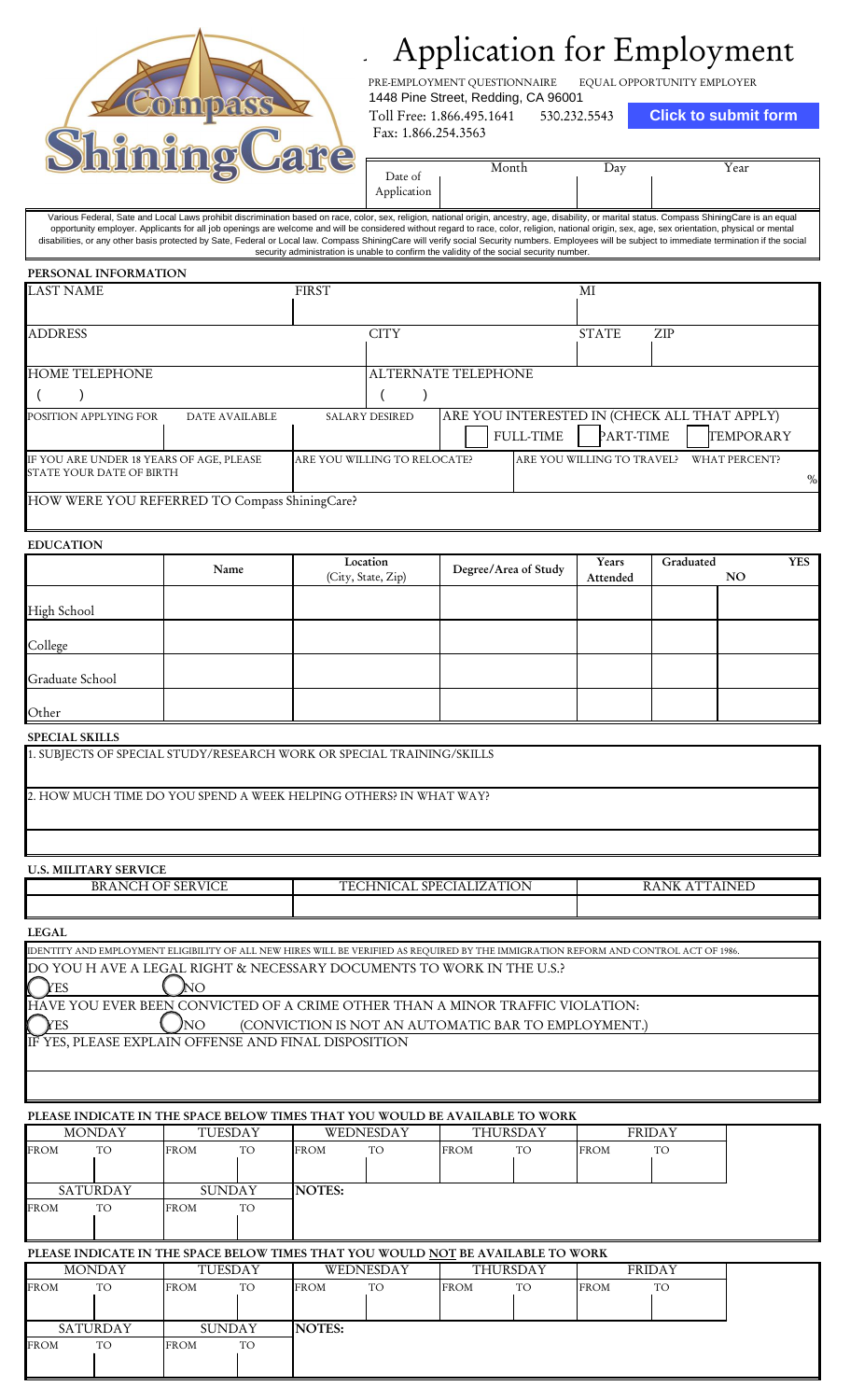

# Application for Employment Application for Employment

EQUAL OPPORTUNITY EMPLOYER PRE-EMPLOYMENT QUESTIONNAIRE 1448 Pine Street, Redding, CA 96001

Toll Free: 1.866.495.1641 530.232.5543

**Click to submit form**

| Date of<br>Application | Month | $\Delta$ dv | r ear |
|------------------------|-------|-------------|-------|
|                        |       |             |       |

Various Federal, Sate and Local Laws prohibit discrimination based on race, color, sex, religion, national origin, ancestry, age, disability, or marital status. Compass ShiningCare is an equal opportunity employer. Applicants for all job openings are welcome and will be considered without regard to race, color, religion, national origin, sex, age, sex orientation, physical or mental disabilities, or any other basis protected by Sate, Federal or Local law. Compass ShiningCare will verify social Security numbers. Employees will be subject to immediate termination if the social security administration is unable to confirm the validity of the social security number

#### **PERSONAL INFORMATION**

| <b>LAST NAME</b>                                                     |                       | <b>FIRST</b>                 |             |                            | MI               |                            |            |                                                                  |      |
|----------------------------------------------------------------------|-----------------------|------------------------------|-------------|----------------------------|------------------|----------------------------|------------|------------------------------------------------------------------|------|
|                                                                      |                       |                              |             |                            |                  |                            |            |                                                                  |      |
| <b>ADDRESS</b>                                                       |                       |                              | <b>CITY</b> |                            |                  | <b>STATE</b>               | <b>ZIP</b> |                                                                  |      |
|                                                                      |                       |                              |             |                            |                  |                            |            |                                                                  |      |
| <b>HOME TELEPHONE</b>                                                |                       |                              |             | <b>ALTERNATE TELEPHONE</b> |                  |                            |            |                                                                  |      |
|                                                                      |                       |                              |             |                            |                  |                            |            |                                                                  |      |
| POSITION APPLYING FOR                                                | <b>DATE AVAILABLE</b> | <b>SALARY DESIRED</b>        |             |                            | <b>FULL-TIME</b> | PART-TIME                  |            | ARE YOU INTERESTED IN (CHECK ALL THAT APPLY)<br><b>TEMPORARY</b> |      |
| IF YOU ARE UNDER 18 YEARS OF AGE, PLEASE<br>STATE YOUR DATE OF BIRTH |                       | ARE YOU WILLING TO RELOCATE? |             |                            |                  | ARE YOU WILLING TO TRAVEL? |            | WHAT PERCENT?                                                    | $\%$ |
| HOW WERE YOU REFERRED TO Compass ShiningCare?                        |                       |                              |             |                            |                  |                            |            |                                                                  |      |

# **EDUCATION**

|                 | Name | Location<br>(City, State, Zip) | Degree/Area of Study | Years<br>Attended | Graduated | NO. | <b>YES</b> |
|-----------------|------|--------------------------------|----------------------|-------------------|-----------|-----|------------|
| High School     |      |                                |                      |                   |           |     |            |
| College         |      |                                |                      |                   |           |     |            |
| Graduate School |      |                                |                      |                   |           |     |            |
| Other           |      |                                |                      |                   |           |     |            |

## **SPECIAL SKILLS**

2. HOW MUCH TIME DO YOU SPEND A WEEK HELPING OTHERS? IN WHAT WAY?

# **U.S. MILITARY SERVICE**

| <b>BRANCH OF SERVICE</b>                             | TECHNICAL SPECIALIZATION                                                                                                             | RANK ATTAINED |
|------------------------------------------------------|--------------------------------------------------------------------------------------------------------------------------------------|---------------|
|                                                      |                                                                                                                                      |               |
| <b>LEGAL</b>                                         |                                                                                                                                      |               |
|                                                      | IDENTITY AND EMPLOYMENT ELIGIBILITY OF ALL NEW HIRES WILL BE VERIFIED AS REQUIRED BY THE IMMIGRATION REFORM AND CONTROL ACT OF 1986. |               |
| NΟ<br>′ES                                            | DO YOU H AVE A LEGAL RIGHT & NECESSARY DOCUMENTS TO WORK IN THE U.S.?                                                                |               |
|                                                      | HAVE YOU EVER BEEN CONVICTED OF A CRIME OTHER THAN A MINOR TRAFFIC VIOLATION:                                                        |               |
| 'NΟ                                                  | (CONVICTION IS NOT AN AUTOMATIC BAR TO EMPLOYMENT.)                                                                                  |               |
| IF YES, PLEASE EXPLAIN OFFENSE AND FINAL DISPOSITION |                                                                                                                                      |               |

# **PLEASE INDICATE IN THE SPACE BELOW TIMES THAT YOU WOULD BE AVAILABLE TO WORK**

|             | <b>MONDAY</b>                                                                    |             | TUESDAY        |               | WEDNESDAY              |             | THURSDAY              |             | <b>FRIDAY</b>        |  |
|-------------|----------------------------------------------------------------------------------|-------------|----------------|---------------|------------------------|-------------|-----------------------|-------------|----------------------|--|
| <b>FROM</b> | TO.                                                                              | <b>FROM</b> | TO.            | <b>FROM</b>   | TO.                    | <b>FROM</b> | TO.                   | <b>FROM</b> | TO.                  |  |
|             | SATURDAY                                                                         |             | <b>SUNDAY</b>  | <b>NOTES:</b> |                        |             |                       |             |                      |  |
| <b>FROM</b> | TO.                                                                              | <b>FROM</b> | TO.            |               |                        |             |                       |             |                      |  |
|             |                                                                                  |             |                |               |                        |             |                       |             |                      |  |
|             | PLEASE INDICATE IN THE SPACE BELOW TIMES THAT YOU WOULD NOT BE AVAILABLE TO WORK |             |                |               |                        |             |                       |             |                      |  |
| <b>FROM</b> | <b>MONDAY</b><br><b>TO</b>                                                       | <b>FROM</b> | TUESDAY<br>TO. | <b>FROM</b>   | WEDNESDAY<br><b>TO</b> | <b>FROM</b> | THURSDAY<br><b>TO</b> | <b>FROM</b> | <b>FRIDAY</b><br>TO. |  |
|             | SATURDAY                                                                         |             | <b>SUNDAY</b>  | <b>NOTES:</b> |                        |             |                       |             |                      |  |